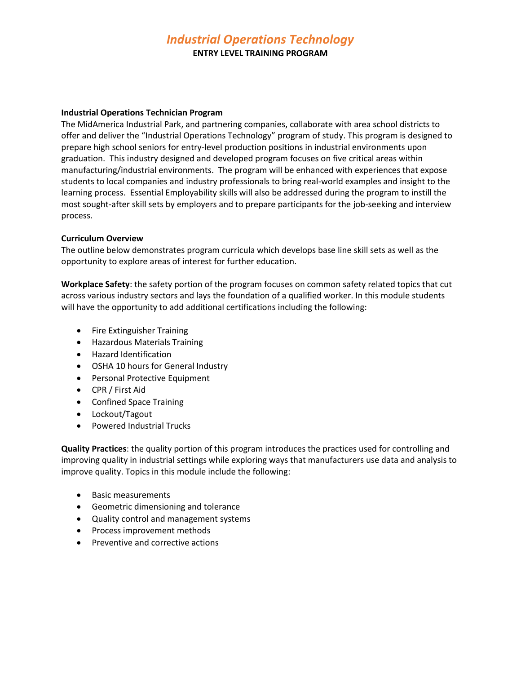# *Industrial Operations Technology*

**ENTRY LEVEL TRAINING PROGRAM**

#### **Industrial Operations Technician Program**

The MidAmerica Industrial Park, and partnering companies, collaborate with area school districts to offer and deliver the "Industrial Operations Technology" program of study. This program is designed to prepare high school seniors for entry-level production positions in industrial environments upon graduation. This industry designed and developed program focuses on five critical areas within manufacturing/industrial environments. The program will be enhanced with experiences that expose students to local companies and industry professionals to bring real-world examples and insight to the learning process. Essential Employability skills will also be addressed during the program to instill the most sought-after skill sets by employers and to prepare participants for the job-seeking and interview process.

#### **Curriculum Overview**

The outline below demonstrates program curricula which develops base line skill sets as well as the opportunity to explore areas of interest for further education.

**Workplace Safety**: the safety portion of the program focuses on common safety related topics that cut across various industry sectors and lays the foundation of a qualified worker. In this module students will have the opportunity to add additional certifications including the following:

- Fire Extinguisher Training
- Hazardous Materials Training
- Hazard Identification
- OSHA 10 hours for General Industry
- Personal Protective Equipment
- CPR / First Aid
- Confined Space Training
- Lockout/Tagout
- Powered Industrial Trucks

**Quality Practices**: the quality portion of this program introduces the practices used for controlling and improving quality in industrial settings while exploring ways that manufacturers use data and analysis to improve quality. Topics in this module include the following:

- Basic measurements
- Geometric dimensioning and tolerance
- Quality control and management systems
- Process improvement methods
- Preventive and corrective actions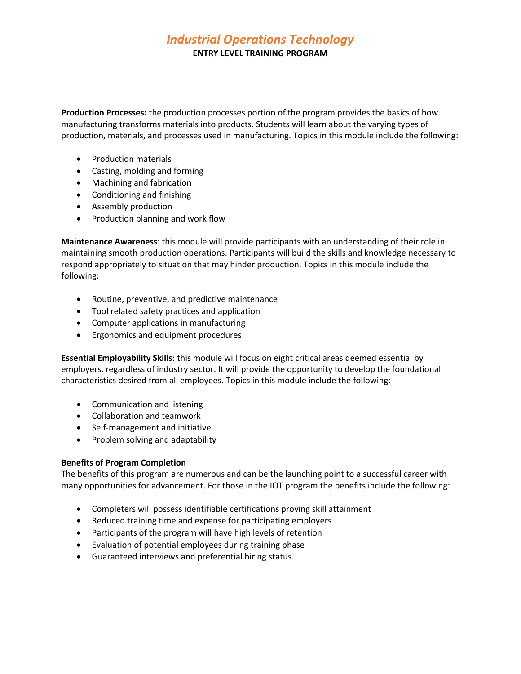# *Industrial Operations Technology*

#### **ENTRY LEVEL TRAINING PROGRAM**

**Production Processes:** the production processes portion of the program provides the basics of how manufacturing transforms materials into products. Students will learn about the varying types of production, materials, and processes used in manufacturing. Topics in this module include the following:

- Production materials
- Casting, molding and forming
- Machining and fabrication
- Conditioning and finishing
- Assembly production
- Production planning and work flow

**Maintenance Awareness**: this module will provide participants with an understanding of their role in maintaining smooth production operations. Participants will build the skills and knowledge necessary to respond appropriately to situation that may hinder production. Topics in this module include the following:

- Routine, preventive, and predictive maintenance
- Tool related safety practices and application
- Computer applications in manufacturing
- Ergonomics and equipment procedures

**Essential Employability Skills**: this module will focus on eight critical areas deemed essential by employers, regardless of industry sector. It will provide the opportunity to develop the foundational characteristics desired from all employees. Topics in this module include the following:

- Communication and listening
- Collaboration and teamwork
- Self-management and initiative
- Problem solving and adaptability

### **Benefits of Program Completion**

The benefits of this program are numerous and can be the launching point to a successful career with many opportunities for advancement. For those in the IOT program the benefits include the following:

- Completers will possess identifiable certifications proving skill attainment
- Reduced training time and expense for participating employers
- Participants of the program will have high levels of retention
- Evaluation of potential employees during training phase
- Guaranteed interviews and preferential hiring status.